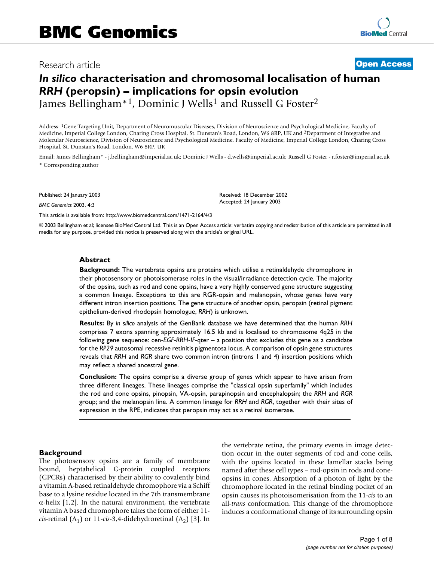# Research article **[Open Access](http://www.biomedcentral.com/info/about/charter/)**

# *In silico* **characterisation and chromosomal localisation of human**  *RRH* **(peropsin) – implications for opsin evolution** James Bellingham<sup>\*1</sup>, Dominic J Wells<sup>1</sup> and Russell G Foster<sup>2</sup>

Address: 1Gene Targeting Unit, Department of Neuromuscular Diseases, Division of Neuroscience and Psychological Medicine, Faculty of Medicine, Imperial College London, Charing Cross Hospital, St. Dunstan's Road, London, W6 8RP, UK and 2Department of Integrative and Molecular Neuroscience, Division of Neuroscience and Psychological Medicine, Faculty of Medicine, Imperial College London, Charing Cross Hospital, St. Dunstan's Road, London, W6 8RP, UK

Email: James Bellingham\* - j.bellingham@imperial.ac.uk; Dominic J Wells - d.wells@imperial.ac.uk; Russell G Foster - r.foster@imperial.ac.uk \* Corresponding author

Published: 24 January 2003

*BMC Genomics* 2003, **4**:3

[This article is available from: http://www.biomedcentral.com/1471-2164/4/3](http://www.biomedcentral.com/1471-2164/4/3)

© 2003 Bellingham et al; licensee BioMed Central Ltd. This is an Open Access article: verbatim copying and redistribution of this article are permitted in all media for any purpose, provided this notice is preserved along with the article's original URL.

Received: 18 December 2002 Accepted: 24 January 2003

#### **Abstract**

**Background:** The vertebrate opsins are proteins which utilise a retinaldehyde chromophore in their photosensory or photoisomerase roles in the visual/irradiance detection cycle. The majority of the opsins, such as rod and cone opsins, have a very highly conserved gene structure suggesting a common lineage. Exceptions to this are RGR-opsin and melanopsin, whose genes have very different intron insertion positions. The gene structure of another opsin, peropsin (retinal pigment epithelium-derived rhodopsin homologue, *RRH*) is unknown.

**Results:** By *in silico* analysis of the GenBank database we have determined that the human *RRH* comprises 7 exons spanning approximately 16.5 kb and is localised to chromosome 4q25 in the following gene sequence: cen-*EGF*-*RRH*-*IF*-qter – a position that excludes this gene as a candidate for the *RP29* autosomal recessive retinitis pigmentosa locus. A comparison of opsin gene structures reveals that *RRH* and *RGR* share two common intron (introns 1 and 4) insertion positions which may reflect a shared ancestral gene.

**Conclusion:** The opsins comprise a diverse group of genes which appear to have arisen from three different lineages. These lineages comprise the "classical opsin superfamily" which includes the rod and cone opsins, pinopsin, VA-opsin, parapinopsin and encephalopsin; the *RRH* and *RGR* group; and the melanopsin line. A common lineage for *RRH* and *RGR*, together with their sites of expression in the RPE, indicates that peropsin may act as a retinal isomerase.

#### **Background**

The photosensory opsins are a family of membrane bound, heptahelical G-protein coupled receptors (GPCRs) characterised by their ability to covalently bind a vitamin A-based retinaldehyde chromophore via a Schiff base to a lysine residue located in the 7th transmembrane α-helix [1,2]. In the natural environment, the vertebrate vitamin A based chromophore takes the form of either 11 *cis*-retinal  $(A_1)$  or 11-*cis*-3,4-didehydroretinal  $(A_2)$  [3]. In the vertebrate retina, the primary events in image detection occur in the outer segments of rod and cone cells, with the opsins located in these lamellar stacks being named after these cell types – rod-opsin in rods and coneopsins in cones. Absorption of a photon of light by the chromophore located in the retinal binding pocket of an opsin causes its photoisomerisation from the 11-*cis* to an all-*trans* conformation. This change of the chromophore induces a conformational change of its surrounding opsin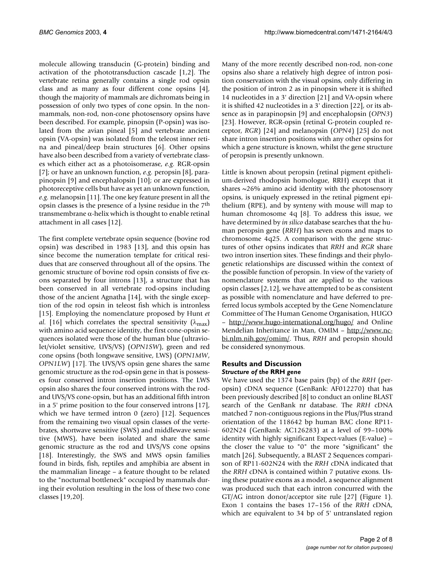molecule allowing transducin (G-protein) binding and activation of the phototransduction cascade [1,2]. The vertebrate retina generally contains a single rod opsin class and as many as four different cone opsins [4], though the majority of mammals are dichromats being in possession of only two types of cone opsin. In the nonmammals, non-rod, non-cone photosensory opsins have been described. For example, pinopsin (P-opsin) was isolated from the avian pineal [5] and vertebrate ancient opsin (VA-opsin) was isolated from the teleost inner retina and pineal/deep brain structures [6]. Other opsins have also been described from a variety of vertebrate classes which either act as a photoisomerase, *e.g.* RGR-opsin [[7](#page-7-0)]; or have an unknown function, *e.g.* peropsin [8], parapinopsin [9] and encephalopsin [10]; or are expressed in photoreceptive cells but have as yet an unknown function, *e.g.* melanopsin [11]. The one key feature present in all the opsin classes is the presence of a lysine residue in the 7th transmembrane α-helix which is thought to enable retinal attachment in all cases [12].

The first complete vertebrate opsin sequence (bovine rod opsin) was described in 1983 [13], and this opsin has since become the numeration template for critical residues that are conserved throughout all of the opsins. The genomic structure of bovine rod opsin consists of five exons separated by four introns [13], a structure that has been conserved in all vertebrate rod-opsins including those of the ancient Agnatha [\[14\]](#page-7-1), with the single exception of the rod opsin in teleost fish which is intronless [15]. Employing the nomenclature proposed by Hunt *et al.* [16] which correlates the spectral sensitivity ( $\lambda_{\text{max}}$ ) with amino acid sequence identity, the first cone-opsin sequences isolated were those of the human blue (ultraviolet/violet sensitive, UVS/VS) (*OPN1SW*), green and red cone opsins (both longwave sensitive, LWS) (*OPN1MW*, *OPN1LW*) [17]. The UVS/VS opsin gene shares the same genomic structure as the rod-opsin gene in that is possesses four conserved intron insertion positions. The LWS opsin also shares the four conserved introns with the rodand UVS/VS cone-opsin, but has an additional fifth intron in a 5' prime position to the four conserved introns [17], which we have termed intron 0 (zero) [12]. Sequences from the remaining two visual opsin classes of the vertebrates, shortwave sensitive (SWS) and middlewave sensitive (MWS), have been isolated and share the same genomic structure as the rod and UVS/VS cone opsins [18]. Interestingly, the SWS and MWS opsin families found in birds, fish, reptiles and amphibia are absent in the mammalian lineage – a feature thought to be related to the "nocturnal bottleneck" occupied by mammals during their evolution resulting in the loss of these two cone classes [19,20].

Many of the more recently described non-rod, non-cone opsins also share a relatively high degree of intron position conservation with the visual opsins, only differing in the position of intron 2 as in pinopsin where it is shifted 14 nucleotides in a 3' direction [21] and VA-opsin where it is shifted 42 nucleotides in a 3' direction [[22\]](#page-7-2), or its absence as in parapinopsin [9] and encephalopsin (*OPN3*) [23]. However, RGR-opsin (retinal G-protein coupled receptor, *RGR*) [24] and melanopsin (*OPN4*) [25] do not share intron insertion positions with any other opsins for which a gene structure is known, whilst the gene structure of peropsin is presently unknown.

Little is known about peropsin (retinal pigment epithelium-derived rhodopsin homologue, RRH) except that it shares  $\sim$ 26% amino acid identity with the photosensory opsins, is uniquely expressed in the retinal pigment epithelium (RPE), and by synteny with mouse will map to human chromosome 4q [8]. To address this issue, we have determined by *in silico* database searches that the human peropsin gene (*RRH*) has seven exons and maps to chromosome 4q25. A comparison with the gene structures of other opsins indicates that *RRH* and *RGR* share two intron insertion sites. These findings and their phylogenetic relationships are discussed within the context of the possible function of peropsin. In view of the variety of nomenclature systems that are applied to the various opsin classes [2,12], we have attempted to be as consistent as possible with nomenclature and have deferred to preferred locus symbols accepted by the Gene Nomenclature Committee of The Human Genome Organisation, HUGO – <http://www.hugo-international.org/hugo/> and Online Mendelian Inheritance in Man, OMIM – [http://www.nc](http://www.ncbi.nlm.nih.gov/omim/)[bi.nlm.nih.gov/omim/.](http://www.ncbi.nlm.nih.gov/omim/) Thus, *RRH* and peropsin should be considered synonymous.

# **Results and Discussion** *Structure of the* **RRH** *gene*

We have used the 1374 base pairs (bp) of the *RRH* (peropsin) cDNA sequence (GenBank: AF012270) that has been previously described [8] to conduct an online BLAST search of the GenBank nr database. The *RRH* cDNA matched 7 non-contiguous regions in the Plus/Plus strand orientation of the 118642 bp human BAC clone RP11- 602N24 (GenBank: AC126283) at a level of 99–100% identity with highly significant Expect-values (E-value) – the closer the value to "0" the more "significant" the match [26]. Subsequently, a BLAST 2 Sequences comparison of RP11-602N24 with the *RRH* cDNA indicated that the *RRH* cDNA is contained within 7 putative exons. Using these putative exons as a model, a sequence alignment was produced such that each intron concurred with the GT/AG intron donor/acceptor site rule [27] (Figure 1). Exon 1 contains the bases 17–156 of the *RRH* cDNA, which are equivalent to 34 bp of 5' untranslated region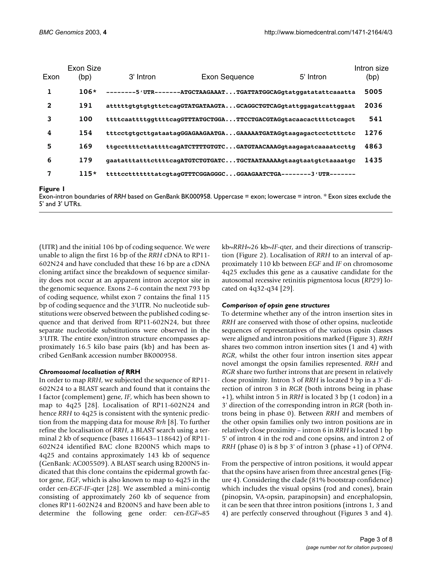|          | Exon Size |           |                                                                  |           | Intron size |
|----------|-----------|-----------|------------------------------------------------------------------|-----------|-------------|
| Exon     | (bp)      | 3' Intron | <b>Exon Sequence</b>                                             | 5' Intron | (bp)        |
| 1        | $106*$    |           | --------5'UTR-------ATGCTAAGAAATTGATTATGGCAGgtatggatatattcaaatta |           | 5005        |
| 2        | 191       |           | atttttqtqtqtttttcaqGTATGATAAGTAGCAGGCTGTCAGqtattqqaqatcattqqaat  |           | 2036        |
| 3        | 100       |           | ttttcaattttgqttttcaqGTTTATGCTGGATTCCTGACGTAGqtacaacacttttctcaqct |           | 541         |
| 4        | 154       |           | tttcctqtqcttqataataqGGAGAAGAATGAGAAAAATGATAGqtaaqaqactcctctttctc |           | 1276        |
| 5        | 169       |           | ttgccttttcttattttcagATCTTTTGTGTCGATGTAACAAAGqtaagagatcaaaatccttg |           | 4863        |
| 6        | 179       |           | gaatatttatttcttttcagATGTCTGTGATCTGCTAATAAAAAqtaagtaatgtctaaaatgc |           | 1435        |
| 7        | $115*$    |           | ttttcctttttttatcgtagGTTTCGGAGGGCGGAAGAATCTGA--------3'UTR------- |           |             |
| Figure I |           |           |                                                                  |           |             |

Exon-intron boundaries of *RRH* based on GenBank BK000958. Uppercase = exon; lowercase = intron. \* Exon sizes exclude the 5' and 3' UTRs.

(UTR) and the initial 106 bp of coding sequence. We were unable to align the first 16 bp of the *RRH* cDNA to RP11- 602N24 and have concluded that these 16 bp are a cDNA cloning artifact since the breakdown of sequence similarity does not occur at an apparent intron acceptor site in the genomic sequence. Exons 2–6 contain the next 793 bp of coding sequence, whilst exon 7 contains the final 115 bp of coding sequence and the 3'UTR. No nucleotide substitutions were observed between the published coding sequence and that derived from RP11-602N24, but three separate nucleotide substitutions were observed in the 3'UTR. The entire exon/intron structure encompasses approximately 16.5 kilo base pairs (kb) and has been ascribed GenBank accession number BK000958.

## *Chromosomal localisation of* **RRH**

In order to map *RRH*, we subjected the sequence of RP11- 602N24 to a BLAST search and found that it contains the I factor (complement) gene, *IF*, which has been shown to map to 4q25 [28]. Localisation of RP11-602N24 and hence *RRH* to 4q25 is consistent with the syntenic prediction from the mapping data for mouse *Rrh* [8]. To further refine the localisation of *RRH*, a BLAST search using a terminal 2 kb of sequence (bases 116643–118642) of RP11- 602N24 identified BAC clone B200N5 which maps to 4q25 and contains approximately 143 kb of sequence (GenBank: AC005509). A BLAST search using B200N5 indicated that this clone contains the epidermal growth factor gene, *EGF*, which is also known to map to 4q25 in the order cen-*EGF*-*IF*-qter [28]. We assembled a mini-contig consisting of approximately 260 kb of sequence from clones RP11-602N24 and B200N5 and have been able to determine the following gene order: cen-*EGF*~85

kb~*RRH*~26 kb~*IF*-qter, and their directions of transcription (Figure [2\)](#page-3-0). Localisation of *RRH* to an interval of approximately 110 kb between *EGF* and *IF* on chromosome 4q25 excludes this gene as a causative candidate for the autosomal recessive retinitis pigmentosa locus (*RP29*) located on 4q32-q34 [[29\]](#page-7-3).

# *Comparison of opsin gene structures*

To determine whether any of the intron insertion sites in *RRH* are conserved with those of other opsins, nucleotide sequences of representatives of the various opsin classes were aligned and intron positions marked (Figure [3](#page-4-0)). *RRH* shares two common intron insertion sites (1 and 4) with *RGR*, whilst the other four intron insertion sites appear novel amongst the opsin families represented. *RRH* and *RGR* share two further introns that are present in relatively close proximity. Intron 3 of *RRH* is located 9 bp in a 3' direction of intron 3 in *RGR* (both introns being in phase +1), whilst intron 5 in *RRH* is located 3 bp (1 codon) in a 3' direction of the corresponding intron in *RGR* (both introns being in phase 0). Between *RRH* and members of the other opsin families only two intron positions are in relatively close proximity – intron 6 in *RRH* is located 1 bp 5' of intron 4 in the rod and cone opsins, and intron 2 of *RRH* (phase 0) is 8 bp 3' of intron 3 (phase +1) of *OPN4*.

From the perspective of intron positions, it would appear that the opsins have arisen from three ancestral genes (Figure 4). Considering the clade (81% bootstrap confidence) which includes the visual opsins (rod and cones), brain (pinopsin, VA-opsin, parapinopsin) and encephalopsin, it can be seen that three intron positions (introns 1, 3 and 4) are perfectly conserved throughout (Figures [3](#page-4-0) and 4).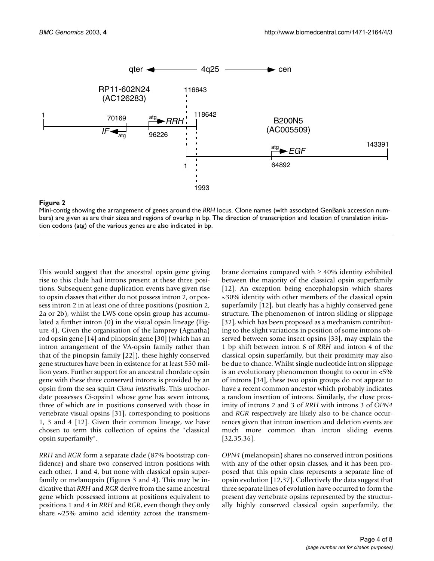<span id="page-3-0"></span>

#### **Figure 2**

Mini-contig showing the arrangement of genes around the *RRH* locus. Clone names (with associated GenBank accession numbers) are given as are their sizes and regions of overlap in bp. The direction of transcription and location of translation initiation codons (atg) of the various genes are also indicated in bp.

This would suggest that the ancestral opsin gene giving rise to this clade had introns present at these three positions. Subsequent gene duplication events have given rise to opsin classes that either do not possess intron 2, or possess intron 2 in at least one of three positions (position 2, 2a or 2b), whilst the LWS cone opsin group has accumulated a further intron (0) in the visual opsin lineage (Figure 4). Given the organisation of the lamprey (Agnatha) rod opsin gene [\[14](#page-7-1)] and pinopsin gene [\[30](#page-7-4)] (which has an intron arrangement of the VA-opsin family rather than that of the pinopsin family [\[22](#page-7-2)]), these highly conserved gene structures have been in existence for at least 550 million years. Further support for an ancestral chordate opsin gene with these three conserved introns is provided by an opsin from the sea squirt *Ciona intestinalis*. This urochordate possesses *Ci*-opsin1 whose gene has seven introns, three of which are in positions conserved with those in vertebrate visual opsins [\[31](#page-7-5)], corresponding to positions 1, 3 and 4 [12]. Given their common lineage, we have chosen to term this collection of opsins the "classical opsin superfamily".

*RRH* and *RGR* form a separate clade (87% bootstrap confidence) and share two conserved intron positions with each other, 1 and 4, but none with classical opsin superfamily or melanopsin (Figures [3](#page-4-0) and 4). This may be indicative that *RRH* and *RGR* derive from the same ancestral gene which possessed introns at positions equivalent to positions 1 and 4 in *RRH* and *RGR*, even though they only share  $\sim$ 25% amino acid identity across the transmembrane domains compared with  $\geq 40\%$  identity exhibited between the majority of the classical opsin superfamily [12]. An exception being encephalopsin which shares ~30% identity with other members of the classical opsin superfamily [12], but clearly has a highly conserved gene structure. The phenomenon of intron sliding or slippage [32], which has been proposed as a mechanism contributing to the slight variations in position of some introns observed between some insect opsins [[33](#page-7-6)], may explain the 1 bp shift between intron 6 of *RRH* and intron 4 of the classical opsin superfamily, but their proximity may also be due to chance. Whilst single nucleotide intron slippage is an evolutionary phenomenon thought to occur in <5% of introns [34], these two opsin groups do not appear to have a recent common ancestor which probably indicates a random insertion of introns. Similarly, the close proximity of introns 2 and 3 of *RRH* with introns 3 of *OPN4* and *RGR* respectively are likely also to be chance occurrences given that intron insertion and deletion events are much more common than intron sliding events [32,35[,36](#page-7-7)].

*OPN4* (melanopsin) shares no conserved intron positions with any of the other opsin classes, and it has been proposed that this opsin class represents a separate line of opsin evolution [12,37]. Collectively the data suggest that three separate lines of evolution have occurred to form the present day vertebrate opsins represented by the structurally highly conserved classical opsin superfamily, the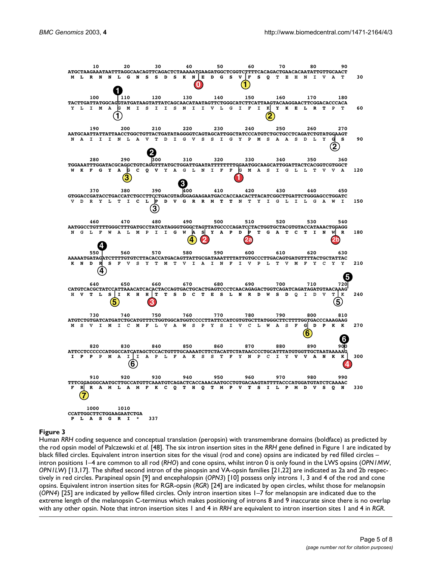<span id="page-4-0"></span>

#### **Figure 3**

Human *RRH* coding sequence and conceptual translation (peropsin) with transmembrane domains (boldface) as predicted by the rod opsin model of Palczewski *et al.* [48]. The six intron insertion sites in the *RRH* gene defined in Figure 1 are indicated by black filled circles. Equivalent intron insertion sites for the visual (rod and cone) opsins are indicated by red filled circles – intron positions 1–4 are common to all rod (*RHO*) and cone opsins, whilst intron 0 is only found in the LWS opsins (*OPN1MW*, *OPN1LW*) [13,17]. The shifted second intron of the pinopsin and VA-opsin families [21[,22\]](#page-7-2) are indicated as 2a and 2b respectively in red circles. Parapineal opsin [9] and encephalopsin (*OPN3*) [10] possess only introns 1, 3 and 4 of the rod and cone opsins. Equivalent intron insertion sites for RGR-opsin (*RGR*) [24] are indicated by open circles, whilst those for melanopsin (*OPN4*) [25] are indicated by yellow filled circles. Only intron insertion sites 1–7 for melanopsin are indicated due to the extreme length of the melanopsin C-terminus which makes positioning of introns 8 and 9 inaccurate since there is no overlap with any other opsin. Note that intron insertion sites 1 and 4 in *RRH* are equivalent to intron insertion sites 1 and 4 in *RGR*.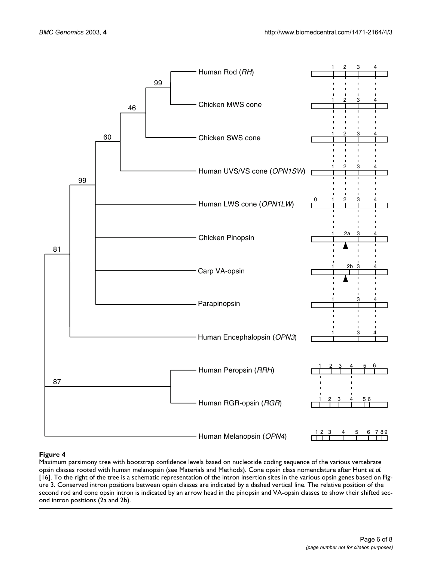

## **Figure 4**

Maximum parsimony tree with bootstrap confidence levels based on nucleotide coding sequence of the various vertebrate opsin classes rooted with human melanopsin (see Materials and Methods). Cone opsin class nomenclature after Hunt *et al.*  [16]. To the right of the tree is a schematic representation of the intron insertion sites in the various opsin genes based on Figure [3](#page-4-0). Conserved intron positions between opsin classes are indicated by a dashed vertical line. The relative position of the second rod and cone opsin intron is indicated by an arrow head in the pinopsin and VA-opsin classes to show their shifted second intron positions (2a and 2b).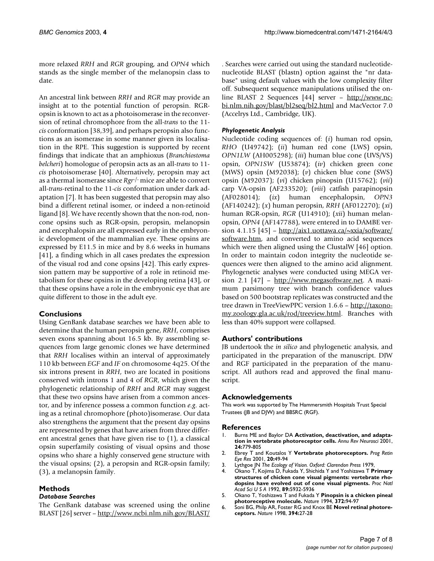more relaxed *RRH* and *RGR* grouping, and *OPN4* which stands as the single member of the melanopsin class to date.

An ancestral link between *RRH* and *RGR* may provide an insight at to the potential function of peropsin. RGRopsin is known to act as a photoisomerase in the reconversion of retinal chromophore from the all-*trans* to the 11 *cis* conformation [38,39], and perhaps peropsin also functions as an isomerase in some manner given its localisation in the RPE. This suggestion is supported by recent findings that indicate that an amphioxus (*Branchiostoma belcheri*) homologue of peropsin acts as an all-*trans* to 11 *cis* photoisomerase [[40\]](#page-7-8). Alternatively, peropsin may act as a thermal isomerase since *Rgr*-/- mice are able to convert all-*trans*-retinal to the 11-*cis* conformation under dark adaptation [\[7\]](#page-7-0). It has been suggested that peropsin may also bind a different retinal isomer, or indeed a non-retinoid ligand [8]. We have recently shown that the non-rod, noncone opsins such as RGR-opsin, peropsin, melanopsin and encephalopsin are all expressed early in the embryonic development of the mammalian eye. These opsins are expressed by E11.5 in mice and by 8.6 weeks in humans [41], a finding which in all cases predates the expression of the visual rod and cone opsins [\[42](#page-7-9)]. This early expression pattern may be supportive of a role in retinoid metabolism for these opsins in the developing retina [43], or that these opsins have a role in the embryonic eye that are quite different to those in the adult eye.

# **Conclusions**

Using GenBank database searches we have been able to determine that the human peropsin gene, *RRH*, comprises seven exons spanning about 16.5 kb. By assembling sequences from large genomic clones we have determined that *RRH* localises within an interval of approximately 110 kb between *EGF* and *IF* on chromosome 4q25. Of the six introns present in *RRH*, two are located in positions conserved with introns 1 and 4 of *RGR*, which given the phylogenetic relationship of *RRH* and *RGR* may suggest that these two opsins have arisen from a common ancestor, and by inference possess a common function *e.g.* acting as a retinal chromophore (photo)isomerase. Our data also strengthens the argument that the present day opsins are represented by genes that have arisen from three different ancestral genes that have given rise to (1), a classical opsin superfamily cosisting of visual opsins and those opsins who share a highly conserved gene structure with the visual opsins; (2), a peropsin and RGR-opsin family; (3), a melanopsin family.

# **Methods**

# *Database Searches*

The GenBank database was screened using the online BLAST [26] server –<http://www.ncbi.nlm.nih.gov/BLAST/>

. Searches were carried out using the standard nucleotidenucleotide BLAST (blastn) option against the "nr database" using default values with the low complexity filter off. Subsequent sequence manipulations utilised the online BLAST 2 Sequences [44] server – [http://www.nc](http://www.ncbi.nlm.nih.gov/blast/bl2seq/bl2.html)[bi.nlm.nih.gov/blast/bl2seq/bl2.html](http://www.ncbi.nlm.nih.gov/blast/bl2seq/bl2.html) and MacVector 7.0 (Accelrys Ltd., Cambridge, UK).

# *Phylogenetic Analysis*

Nucleotide coding sequences of: (*i*) human rod opsin, *RHO* (U49742); (*ii*) human red cone (LWS) opsin, *OPN1LW* (AH005298); (*iii*) human blue cone (UVS/VS) opsin, *OPN1SW* (U53874); (*iv*) chicken green cone (MWS) opsin (M92038); (*v*) chicken blue cone (SWS) opsin (M92037); (*vi*) chicken pinopsin (U15762); (*vii*) carp VA-opsin (AF233520); (*viii*) catfish parapinopsin (AF028014); (*ix*) human encephalopsin, *OPN3* (AF140242); (*x*) human peropsin, *RRH* (AF012270); (*xi*) human RGR-opsin, *RGR* (U14910); (*xii*) human melanopsin, *OPN4* (AF147788), were entered in to DAMBE version 4.1.15  $[45]$  – [http://aix1.uottawa.ca/~xxia/software/](http://aix1.uottawa.ca/~xxia/software/software.htm) [software.htm](http://aix1.uottawa.ca/~xxia/software/software.htm), and converted to amino acid sequences which were then aligned using the ClustalW [46] option. In order to maintain codon integrity the nucleotide sequences were then aligned to the amino acid alignment. Phylogenetic analyses were conducted using MEGA version 2.1 [47] - [http://www.megasoftware.net.](http://www.megasoftware.net) A maximum parsimony tree with branch confidence values based on 500 bootstrap replicates was constructed and the tree drawn in TreeViewPPC version 1.6.6 – [http://taxono](http://taxonomy.zoology.gla.ac.uk/rod/treeview.html)[my.zoology.gla.ac.uk/rod/treeview.html](http://taxonomy.zoology.gla.ac.uk/rod/treeview.html). Branches with less than 40% support were collapsed.

# **Authors' contributions**

JB undertook the *in silico* and phylogenetic analysis, and participated in the preparation of the manuscript. DJW and RGF participated in the preparation of the manuscript. All authors read and approved the final manuscript.

# **Acknowledgements**

This work was supported by The Hammersmith Hospitals Trust Special Trustees (JB and DJW) and BBSRC (RGF).

# **References**

- 1. Burns ME and Baylor DA **[Activation, deactivation, and adapta](http://www.ncbi.nlm.nih.gov/entrez/query.fcgi?cmd=Retrieve&db=PubMed&dopt=Abstract&list_uids=11520918)[tion in vertebrate photoreceptor cells.](http://www.ncbi.nlm.nih.gov/entrez/query.fcgi?cmd=Retrieve&db=PubMed&dopt=Abstract&list_uids=11520918)** *Annu Rev Neurosci* 2001, **24:**779-805
- 2. Ebrey T and Koutalos Y **[Vertebrate photoreceptors.](http://www.ncbi.nlm.nih.gov/entrez/query.fcgi?cmd=Retrieve&db=PubMed&dopt=Abstract&list_uids=11070368)** *Prog Retin Eye Res* 2001, **20:**49-94
- 3. Lythgoe JN *The Ecology of Vision. Oxford: Clarendon Press* 1979,
- 4. Okano T, Kojima D, Fukada Y, Shichida Y and Yoshizawa T **[Primary](http://www.ncbi.nlm.nih.gov/entrez/query.fcgi?cmd=Retrieve&db=PubMed&dopt=Abstract&list_uids=49411) [structures of chicken cone visual pigments: vertebrate rho](http://www.ncbi.nlm.nih.gov/entrez/query.fcgi?cmd=Retrieve&db=PubMed&dopt=Abstract&list_uids=49411)[dopsins have evolved out of cone visual pigments.](http://www.ncbi.nlm.nih.gov/entrez/query.fcgi?cmd=Retrieve&db=PubMed&dopt=Abstract&list_uids=49411)** *Proc Natl Acad Sci U S A* 1992, **89:**5932-5936
- 5. Okano T, Yoshizawa T and Fukada Y **[Pinopsin is a chicken pineal](http://www.ncbi.nlm.nih.gov/entrez/query.fcgi?cmd=Retrieve&db=PubMed&dopt=Abstract&list_uids=7969427) [photoreceptive molecule.](http://www.ncbi.nlm.nih.gov/entrez/query.fcgi?cmd=Retrieve&db=PubMed&dopt=Abstract&list_uids=7969427)** *Nature* 1994, **372:**94-97
- 6. Soni BG, Philp AR, Foster RG and Knox BE **[Novel retinal photore](http://www.ncbi.nlm.nih.gov/entrez/query.fcgi?cmd=Retrieve&db=PubMed&dopt=Abstract&list_uids=9665123)[ceptors.](http://www.ncbi.nlm.nih.gov/entrez/query.fcgi?cmd=Retrieve&db=PubMed&dopt=Abstract&list_uids=9665123)** *Nature* 1998, **394:**27-28